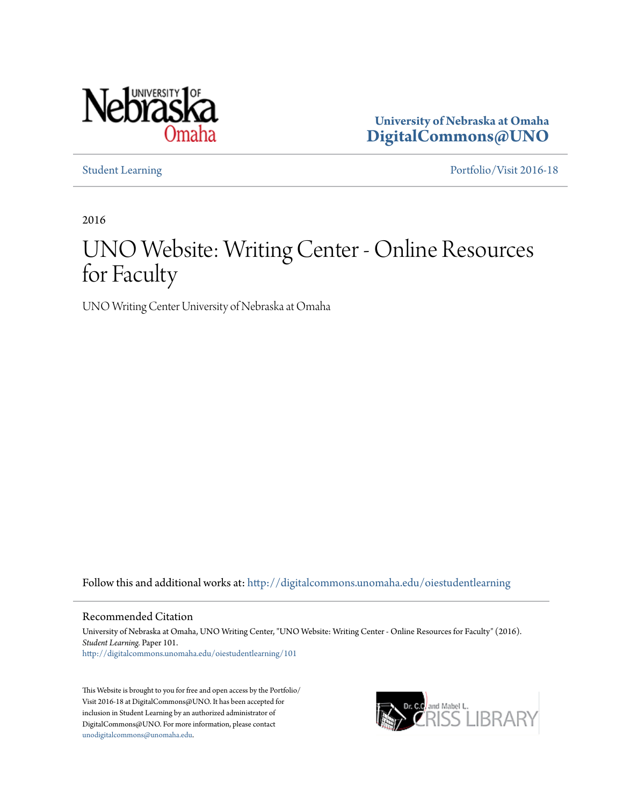

**University of Nebraska at Omaha [DigitalCommons@UNO](http://digitalcommons.unomaha.edu?utm_source=digitalcommons.unomaha.edu%2Foiestudentlearning%2F101&utm_medium=PDF&utm_campaign=PDFCoverPages)**

[Student Learning](http://digitalcommons.unomaha.edu/oiestudentlearning?utm_source=digitalcommons.unomaha.edu%2Foiestudentlearning%2F101&utm_medium=PDF&utm_campaign=PDFCoverPages) [Portfolio/Visit 2016-18](http://digitalcommons.unomaha.edu/oieportfolio?utm_source=digitalcommons.unomaha.edu%2Foiestudentlearning%2F101&utm_medium=PDF&utm_campaign=PDFCoverPages)

2016

# UNO Website: Writing Center - Online Resources for Faculty

UNO Writing Center University of Nebraska at Omaha

Follow this and additional works at: [http://digitalcommons.unomaha.edu/oiestudentlearning](http://digitalcommons.unomaha.edu/oiestudentlearning?utm_source=digitalcommons.unomaha.edu%2Foiestudentlearning%2F101&utm_medium=PDF&utm_campaign=PDFCoverPages)

Recommended Citation

University of Nebraska at Omaha, UNO Writing Center, "UNO Website: Writing Center - Online Resources for Faculty" (2016). *Student Learning.* Paper 101. [http://digitalcommons.unomaha.edu/oiestudentlearning/101](http://digitalcommons.unomaha.edu/oiestudentlearning/101?utm_source=digitalcommons.unomaha.edu%2Foiestudentlearning%2F101&utm_medium=PDF&utm_campaign=PDFCoverPages)

This Website is brought to you for free and open access by the Portfolio/ Visit 2016-18 at DigitalCommons@UNO. It has been accepted for inclusion in Student Learning by an authorized administrator of DigitalCommons@UNO. For more information, please contact [unodigitalcommons@unomaha.edu](mailto:unodigitalcommons@unomaha.edu).

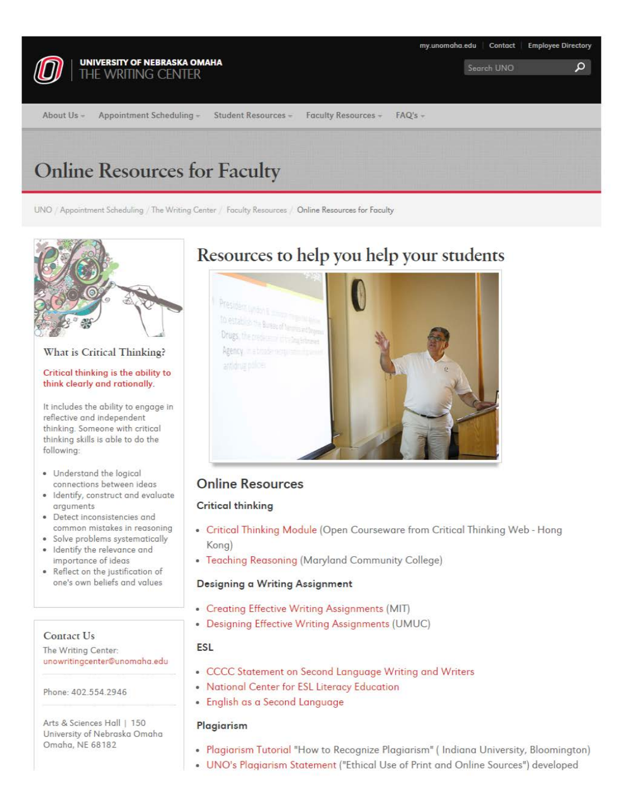

UNO / Appointment Scheduling / The Writing Center / Faculty Resources / Online Resources for Faculty



## What is Critical Thinking?

#### Critical thinking is the ability to think clearly and rationally.

It includes the ability to engage in reflective and independent thinking. Someone with critical thinking skills is able to do the following:

- Understand the logical connections between ideas
- Identify, construct and evaluate arguments
- Detect inconsistencies and common mistakes in reasoning
- Solve problems systematically
- Identify the relevance and importance of ideas
- Reflect on the justification of one's own beliefs and values

## Contact Us

The Writing Center: unowritingcenter@unomaha.edu

Phone: 402.554.2946

Arts & Sciences Hall | 150 University of Nebraska Omaha Omaha, NE 68182

## **Resources to help you help your students**

Drugs. Agency.



## **Online Resources**

## **Critical thinking**

- Critical Thinking Module (Open Courseware from Critical Thinking Web Hong Kong)
- Teaching Reasoning (Maryland Community College)

## **Designing a Writing Assignment**

- Creating Effective Writing Assignments (MIT)
- Designing Effective Writing Assignments (UMUC)

## **ESL**

- CCCC Statement on Second Language Writing and Writers
- National Center for ESL Literacy Education
- English as a Second Language

## **Plagiarism**

- Plagiarism Tutorial "Haw ta Recognize Plagiarism" ( Indiana University, Bloomington)
- UNO's Plagiarism Statement ("Ethical Use of Print and Online Sources") developed